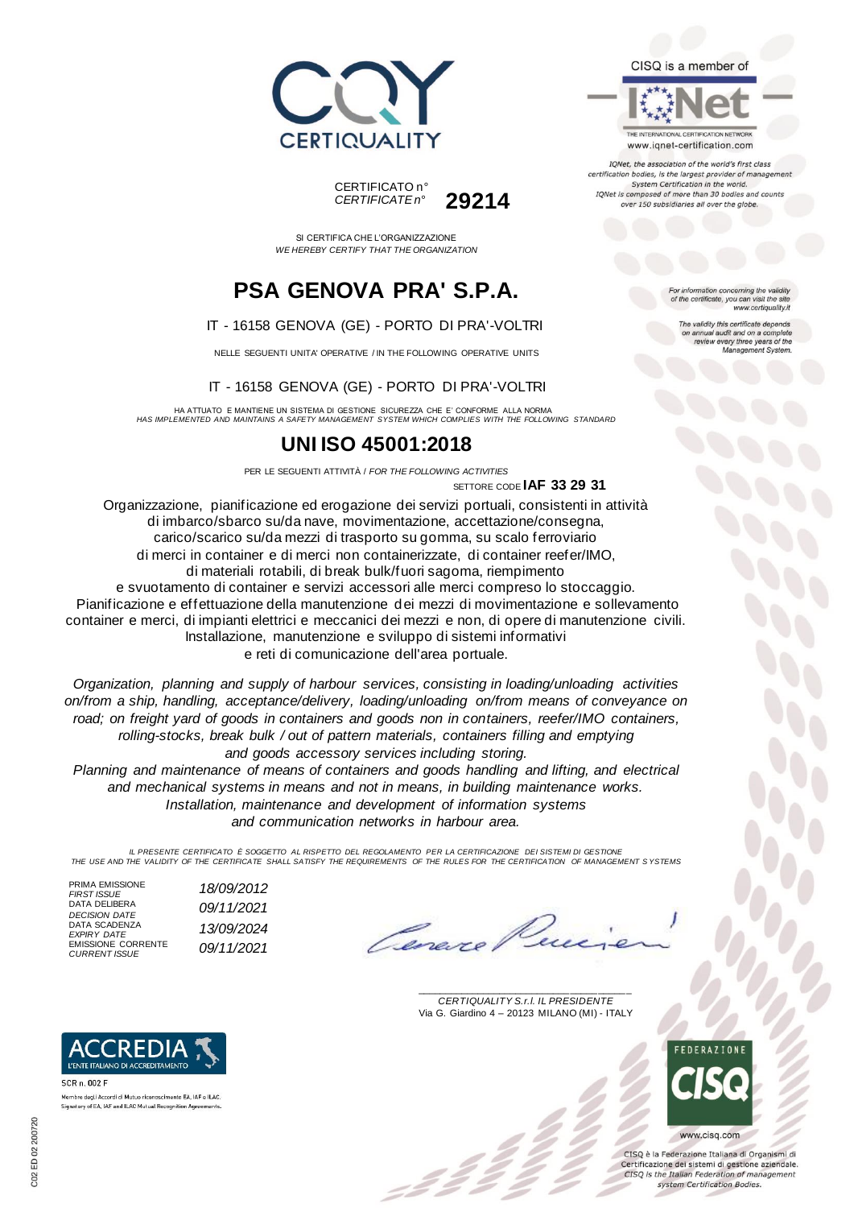



SI CERTIFICA CHE L'ORGANIZZAZIONE *WE HEREBY CERTIFY THAT THE ORGANIZATION*

## **PSA GENOVA PRA' S.P.A.**

#### IT - 16158 GENOVA (GE) - PORTO DI PRA'-VOLTRI

NELLE SEGUENTI UNITA' OPERATIVE / IN THE FOLLOWING OPERATIVE UNITS

#### IT - 16158 GENOVA (GE) - PORTO DI PRA'-VOLTRI

HA ATTUATO E MANTIENE UN SISTEMA DI GESTIONE SICUREZZA CHE E' CONFORME ALLA NORMA *HAS IMPLEMENTED AND MAINTAINS A SAFETY MANAGEMENT SYSTEM WHICH COMPLIES WITH THE FOLLOWING STANDARD*

## **UNI ISO 45001:2018**

PER LE SEGUENTI ATTIVITÀ / *FOR THE FOLLOWING ACTIVITIES* SETTORE CODE **IAF 33 29 31**

Organizzazione, pianificazione ed erogazione dei servizi portuali, consistenti in attività di imbarco/sbarco su/da nave, movimentazione, accettazione/consegna, carico/scarico su/da mezzi di trasporto su gomma, su scalo ferroviario di merci in container e di merci non containerizzate, di container reefer/IMO, di materiali rotabili, di break bulk/fuori sagoma, riempimento e svuotamento di container e servizi accessori alle merci compreso lo stoccaggio. Pianificazione e effettuazione della manutenzione dei mezzi di movimentazione e sollevamento container e merci, di impianti elettrici e meccanici dei mezzi e non, di opere di manutenzione civili. Installazione, manutenzione e sviluppo di sistemi informativi e reti di comunicazione dell'area portuale.

*Organization, planning and supply of harbour services, consisting in loading/unloading activities on/from a ship, handling, acceptance/delivery, loading/unloading on/from means of conveyance on road; on freight yard of goods in containers and goods non in containers, reefer/IMO containers, rolling-stocks, break bulk / out of pattern materials, containers filling and emptying and goods accessory services including storing.*

*Planning and maintenance of means of containers and goods handling and lifting, and electrical and mechanical systems in means and not in means, in building maintenance works. Installation, maintenance and development of information systems and communication networks in harbour area.*

*IL PRESENTE CERTIFICATO È SOGGETTO AL RISPETTO DEL REGOLAMENTO PER LA CERTIFICAZIONE DEI SISTEMI DI GESTIONE THE USE AND THE VALIDITY OF THE CERTIFICATE SHALL SATISFY THE REQUIREMENTS OF THE RULES FOR THE CERTIFICATION OF MANAGEMENT S YSTEMS*

PRIMA EMISSIONE<br>FIRST ISSUE DATA DELIBERA *DECISION DATE 09/11/2021* DATA SCADENZA *EXPIRY DATE 13/09/2024* EMISSIONE CORRENTE *CURRENT ISSUE 09/11/2021*

*FIRST ISSUE 18/09/2012*

Lane.

\_\_\_\_\_\_\_\_\_\_\_\_\_\_\_\_\_\_\_\_\_\_\_\_\_\_\_\_\_\_\_\_\_\_\_\_\_\_\_ *CERTIQUALITY S.r.l. IL PRESIDENTE* Via G. Giardino 4 – 20123 MILANO (MI) - ITALY



CISO è la Federazione Italiana di Organismi di Certificazione dei sistemi di gestione aziendale. CISQ is the Italian Federation of management system Certification Bodies.



Membro degli Accordi di Mutuo riconoscimento EA, IAF e ILAC. Signatory of EA, IAF and ILAC Mutual Recognition Agreements.

tion concerning the validity of the certificate, you can visit the sit www.certiquality.it

> The validity this certificate depends on annual audit and on a complete<br>on annual audit and on a complete<br>review every three years of the<br>Management System.

CISQ is a member of



TONet, the association of the world's first class certification bodies, is the largest provider of managen System Certification in the world. IQNet is composed of more than 30 bodies and counts over 150 subsidiaries all over the globe.